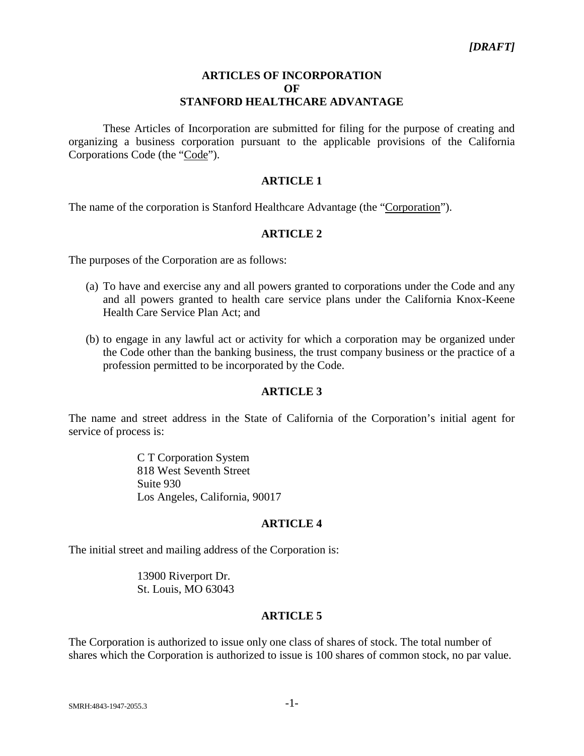#### **ARTICLES OF INCORPORATION OF STANFORD HEALTHCARE ADVANTAGE**

These Articles of Incorporation are submitted for filing for the purpose of creating and organizing a business corporation pursuant to the applicable provisions of the California Corporations Code (the "Code").

# **ARTICLE 1**

The name of the corporation is Stanford Healthcare Advantage (the "Corporation").

# **ARTICLE 2**

The purposes of the Corporation are as follows:

- (a) To have and exercise any and all powers granted to corporations under the Code and any and all powers granted to health care service plans under the California Knox-Keene Health Care Service Plan Act; and
- (b) to engage in any lawful act or activity for which a corporation may be organized under the Code other than the banking business, the trust company business or the practice of a profession permitted to be incorporated by the Code.

## **ARTICLE 3**

The name and street address in the State of California of the Corporation's initial agent for service of process is:

> C T Corporation System 818 West Seventh Street Suite 930 Los Angeles, California, 90017

## **ARTICLE 4**

The initial street and mailing address of the Corporation is:

13900 Riverport Dr. St. Louis, MO 63043

## **ARTICLE 5**

The Corporation is authorized to issue only one class of shares of stock. The total number of shares which the Corporation is authorized to issue is 100 shares of common stock, no par value.